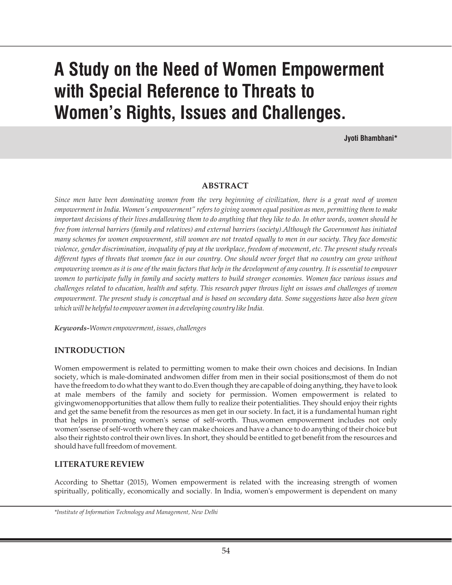# **A Study on the Need of Women Empowerment with Special Reference to Threats to Women's Rights, Issues and Challenges.**

**Jyoti Bhambhani\***

#### **ABSTRACT**

*Since men have been dominating women from the very beginning of civilization, there is a great need of women empowerment in India. Women's empowerment" refers to giving women equal position as men, permitting them to make important decisions of their lives andallowing them to do anything that they like to do. In other words, women should be free from internal barriers (family and relatives) and external barriers (society).Although the Government has initiated many schemes for women empowerment, still women are not treated equally to men in our society. They face domestic violence, gender discrimination, inequality of pay at the workplace, freedom of movement, etc. The present study reveals different types of threats that women face in our country. One should never forget that no country can grow without empowering women as it is one of the main factors that help in the development of any country. It is essential to empower women to participate fully in family and society matters to build stronger economies. Women face various issues and challenges related to education, health and safety. This research paper throws light on issues and challenges of women empowerment. The present study is conceptual and is based on secondary data. Some suggestions have also been given which will be helpful to empower women in a developing country like India.* 

*Keywords-Women empowerment, issues, challenges*

#### **INTRODUCTION**

Women empowerment is related to permitting women to make their own choices and decisions. In Indian society, which is male-dominated andwomen differ from men in their social positions;most of them do not have the freedom to do what they want to do.Even though they are capable of doing anything, they have to look at male members of the family and society for permission. Women empowerment is related to givingwomenopportunities that allow them fully to realize their potentialities. They should enjoy their rights and get the same benefit from the resources as men get in our society. In fact, it is a fundamental human right that helps in promoting women's sense of self-worth. Thus,women empowerment includes not only women'ssense of self-worth where they can make choices and have a chance to do anything of their choice but also their rightsto control their own lives. In short, they should be entitled to get benefit from the resources and should have full freedom of movement.

#### **LITERATURE REVIEW**

According to Shettar (2015), Women empowerment is related with the increasing strength of women spiritually, politically, economically and socially. In India, women's empowerment is dependent on many

*<sup>\*</sup>Institute of Information Technology and Management, New Delhi*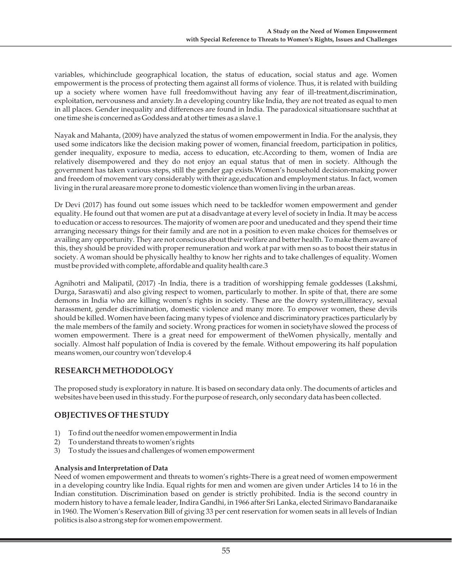variables, whichinclude geographical location, the status of education, social status and age. Women empowerment is the process of protecting them against all forms of violence. Thus, it is related with building up a society where women have full freedomwithout having any fear of ill-treatment,discrimination, exploitation, nervousness and anxiety.In a developing country like India, they are not treated as equal to men in all places. Gender inequality and differences are found in India. The paradoxical situationsare suchthat at one time she is concerned as Goddess and at other times as a slave.1

Nayak and Mahanta, (2009) have analyzed the status of women empowerment in India. For the analysis, they used some indicators like the decision making power of women, financial freedom, participation in politics, gender inequality, exposure to media, access to education, etc.According to them, women of India are relatively disempowered and they do not enjoy an equal status that of men in society. Although the government has taken various steps, still the gender gap exists.Women's household decision-making power and freedom of movement vary considerably with their age, education and employment status. In fact, women living in the rural areasare more prone to domestic violence than women living in the urban areas.

Dr Devi (2017) has found out some issues which need to be tackledfor women empowerment and gender equality. He found out that women are put at a disadvantage at every level of society in India. It may be access to education or access to resources. The majority of women are poor and uneducated and they spend their time arranging necessary things for their family and are not in a position to even make choices for themselves or availing any opportunity. They are not conscious about their welfare and better health. To make them aware of this, they should be provided with proper remuneration and work at par with men so as to boost their status in society. A woman should be physically healthy to know her rights and to take challenges of equality. Women must be provided with complete, affordable and quality health care.3

Agnihotri and Malipatil, (2017) -In India, there is a tradition of worshipping female goddesses (Lakshmi, Durga, Saraswati) and also giving respect to women, particularly to mother. In spite of that, there are some demons in India who are killing women's rights in society. These are the dowry system,illiteracy, sexual harassment, gender discrimination, domestic violence and many more. To empower women, these devils should be killed. Women have been facing many types of violence and discriminatory practices particularly by the male members of the family and society. Wrong practices for women in societyhave slowed the process of women empowerment. There is a great need for empowerment of theWomen physically, mentally and socially. Almost half population of India is covered by the female. Without empowering its half population means women, our country won't develop.4

## **RESEARCH METHODOLOGY**

The proposed study is exploratory in nature. It is based on secondary data only. The documents of articles and websites have been used in this study. For the purpose of research, only secondary data has been collected.

## **OBJECTIVES OF THE STUDY**

- 1) To find out the needfor women empowerment in India
- 2) To understand threats to women's rights
- 3) To study the issues and challenges of women empowerment

#### **Analysis and Interpretation of Data**

Need of women empowerment and threats to women's rights-There is a great need of women empowerment in a developing country like India. Equal rights for men and women are given under Articles 14 to 16 in the Indian constitution. Discrimination based on gender is strictly prohibited. India is the second country in modern history to have a female leader, Indira Gandhi, in 1966 after Sri Lanka, elected Sirimavo Bandaranaike in 1960. The Women's Reservation Bill of giving 33 per cent reservation for women seats in all levels of Indian politics is also a strong step for women empowerment.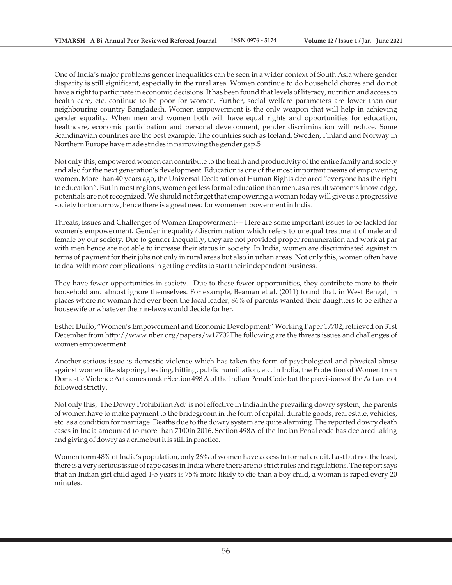One of India's major problems gender inequalities can be seen in a wider context of South Asia where gender disparity is still significant, especially in the rural area. Women continue to do household chores and do not have a right to participate in economic decisions. It has been found that levels of literacy, nutrition and access to health care, etc. continue to be poor for women. Further, social welfare parameters are lower than our neighbouring country Bangladesh. Women empowerment is the only weapon that will help in achieving gender equality. When men and women both will have equal rights and opportunities for education, healthcare, economic participation and personal development, gender discrimination will reduce. Some Scandinavian countries are the best example. The countries such as Iceland, Sweden, Finland and Norway in Northern Europe have made strides in narrowing the gender gap.5

Not only this, empowered women can contribute to the health and productivity of the entire family and society and also for the next generation's development. Education is one of the most important means of empowering women. More than 40 years ago, the Universal Declaration of Human Rights declared "everyone has the right to education". But in most regions, women get less formal education than men, as a result women's knowledge, potentials are not recognized. We should not forget that empowering a woman today will give us a progressive society for tomorrow; hence there is a great need for women empowerment in India.

Threats, Issues and Challenges of Women Empowerment- – Here are some important issues to be tackled for women's empowerment. Gender inequality/discrimination which refers to unequal treatment of male and female by our society. Due to gender inequality, they are not provided proper remuneration and work at par with men hence are not able to increase their status in society. In India, women are discriminated against in terms of payment for their jobs not only in rural areas but also in urban areas. Not only this, women often have to deal with more complications in getting credits to start their independent business.

They have fewer opportunities in society. Due to these fewer opportunities, they contribute more to their household and almost ignore themselves. For example, Beaman et al. (2011) found that, in West Bengal, in places where no woman had ever been the local leader, 86% of parents wanted their daughters to be either a housewife or whatever their in-laws would decide for her.

Esther Duflo, "Women's Empowerment and Economic Development" Working Paper 17702, retrieved on 31st December from http://www.nber.org/papers/w17702The following are the threats issues and challenges of women empowerment.

Another serious issue is domestic violence which has taken the form of psychological and physical abuse against women like slapping, beating, hitting, public humiliation, etc. In India, the Protection of Women from Domestic Violence Act comes under Section 498 A of the Indian Penal Code but the provisions of the Act are not followed strictly.

Not only this, 'The Dowry Prohibition Act' is not effective in India.In the prevailing dowry system, the parents of women have to make payment to the bridegroom in the form of capital, durable goods, real estate, vehicles, etc. as a condition for marriage. Deaths due to the dowry system are quite alarming. The reported dowry death cases in India amounted to more than 7100in 2016. Section 498A of the Indian Penal code has declared taking and giving of dowry as a crime but it is still in practice.

Women form 48% of India's population, only 26% of women have access to formal credit. Last but not the least, there is a very serious issue of rape cases in India where there are no strict rules and regulations. The report says that an Indian girl child aged 1-5 years is 75% more likely to die than a boy child, a woman is raped every 20 minutes.